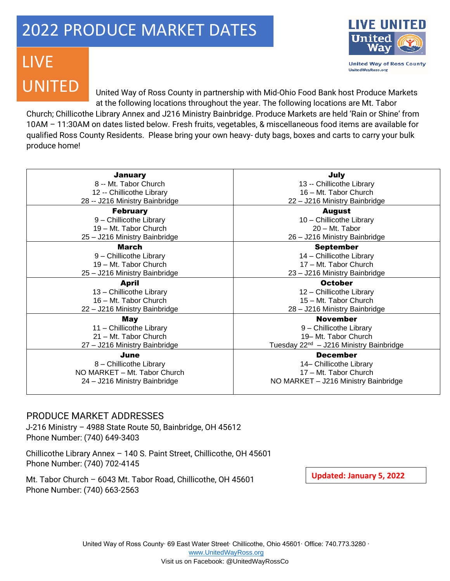## 2022 PRODUCE MARKET DATES



**United Way of Ross County UnitedWayRoss.org** 

## LIVE UNITED

United Way of Ross County in partnership with Mid-Ohio Food Bank host Produce Markets at the following locations throughout the year. The following locations are Mt. Tabor

Church; Chillicothe Library Annex and J216 Ministry Bainbridge. Produce Markets are held 'Rain or Shine' from 10AM – 11:30AM on dates listed below. Fresh fruits, vegetables, & miscellaneous food items are available for qualified Ross County Residents. Please bring your own heavy- duty bags, boxes and carts to carry your bulk produce home!

| <b>January</b>                 | July                                                |
|--------------------------------|-----------------------------------------------------|
| 8 -- Mt. Tabor Church          | 13 -- Chillicothe Library                           |
| 12 -- Chillicothe Library      | 16 - Mt. Tabor Church                               |
| 28 -- J216 Ministry Bainbridge | 22 - J216 Ministry Bainbridge                       |
| <b>February</b>                | <b>August</b>                                       |
| 9 - Chillicothe Library        | 10 - Chillicothe Library                            |
| 19 - Mt. Tabor Church          | 20 - Mt. Tabor                                      |
| 25 - J216 Ministry Bainbridge  | 26 - J216 Ministry Bainbridge                       |
| March                          | <b>September</b>                                    |
| 9 - Chillicothe Library        | 14 - Chillicothe Library                            |
| 19 - Mt. Tabor Church          | 17 - Mt. Tabor Church                               |
| 25 - J216 Ministry Bainbridge  | 23 - J216 Ministry Bainbridge                       |
| <b>April</b>                   | <b>October</b>                                      |
| 13 - Chillicothe Library       | 12 - Chillicothe Library                            |
| 16 - Mt. Tabor Church          | 15 - Mt. Tabor Church                               |
| 22 - J216 Ministry Bainbridge  |                                                     |
|                                | 28 - J216 Ministry Bainbridge                       |
| May                            | <b>November</b>                                     |
| 11 - Chillicothe Library       | 9 - Chillicothe Library                             |
| 21 - Mt. Tabor Church          | 19– Mt. Tabor Church                                |
| 27 - J216 Ministry Bainbridge  | Tuesday 22 <sup>nd</sup> - J216 Ministry Bainbridge |
| June                           | <b>December</b>                                     |
| 8 - Chillicothe Library        | 14- Chillicothe Library                             |
| NO MARKET - Mt. Tabor Church   | 17 - Mt. Tabor Church                               |
| 24 - J216 Ministry Bainbridge  | NO MARKET - J216 Ministry Bainbridge                |

## PRODUCE MARKET ADDRESSES

J-216 Ministry – 4988 State Route 50, Bainbridge, OH 45612 Phone Number: (740) 649-3403

Chillicothe Library Annex – 140 S. Paint Street, Chillicothe, OH 45601 Phone Number: (740) 702-4145

Mt. Tabor Church – 6043 Mt. Tabor Road, Chillicothe, OH 45601 Phone Number: (740) 663-2563

**Updated: January 5, 2022**